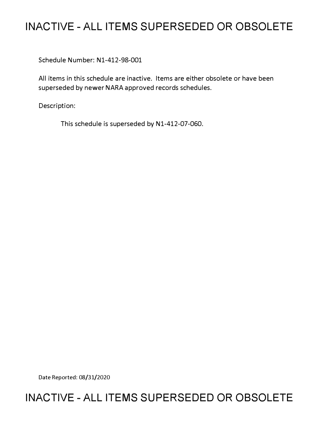# **INACTIVE - ALL ITEMS SUPERSEDED OR OBSOLETE**

Schedule Number: Nl-412-98-001

All items in this schedule are inactive. Items are either obsolete or have been superseded by newer NARA approved records schedules.

Description:

This schedule is superseded by N1-412-07-060.

Date Reported: 08/31/2020

## **INACTIVE - ALL ITEMS SUPERSEDED OR OBSOLETE**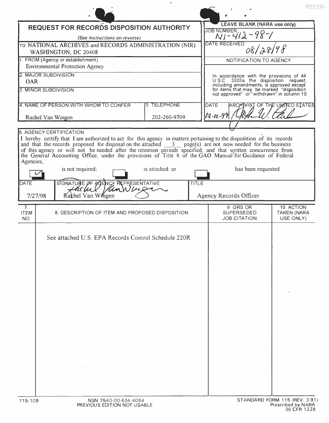|                                                                                                                                                                                         |                 |       |                                                                                                                                     | NWML                                          |
|-----------------------------------------------------------------------------------------------------------------------------------------------------------------------------------------|-----------------|-------|-------------------------------------------------------------------------------------------------------------------------------------|-----------------------------------------------|
| <b>REQUEST FOR RECORDS DISPOSITION AUTHORITY</b>                                                                                                                                        |                 |       | LEAVE BLANK (NARA use only)                                                                                                         |                                               |
| (See Instructions on reverse)                                                                                                                                                           |                 |       | JOB NUMBER,<br>$N1 - 412 - 98 - 1$                                                                                                  |                                               |
| TO: NATIONAL ARCHIVES and RECORDS ADMINISTRATION (NIR)                                                                                                                                  |                 |       | DATE RECEIVED                                                                                                                       |                                               |
| WASHINGTON, DC 20408                                                                                                                                                                    |                 |       |                                                                                                                                     |                                               |
| 1. FROM (Agency or establishment)                                                                                                                                                       |                 |       | NOTIFICATION TO AGENCY                                                                                                              |                                               |
| <b>Environmental Protection Agency</b><br>2. MAJOR SUBDIVISION                                                                                                                          |                 |       |                                                                                                                                     |                                               |
| <b>OAR</b>                                                                                                                                                                              |                 |       | In accordance with the provisions of 44<br>U.S.C 3303a the disposition request,                                                     |                                               |
| 3. MINOR SUBDIVISION                                                                                                                                                                    |                 |       | including amendments, is approved except<br>for items that may be marked "disposition<br>not approved" or "withdrawn" in column 10. |                                               |
| 4. NAME OF PERSON WITH WHOM TO CONFER                                                                                                                                                   | 5. TELEPHONE    |       | <b>DATE</b>                                                                                                                         | ARCAIVIST OF THE UNITED STATES                |
| 202-260-9709<br>Rachel Van Wingen                                                                                                                                                       |                 |       | $12 - 10 - 99$                                                                                                                      |                                               |
|                                                                                                                                                                                         |                 |       |                                                                                                                                     |                                               |
| the General Accounting Office, under the provisions of Title 8 of the GAO Manual for Guidance of Federal<br>Agencies,<br>is not required;<br>SIGNATURE OF AGENCY REPRESENTATIVE<br>DATE | is attached; or | TITLE | has been requested.                                                                                                                 |                                               |
| VanWuig<br>ucul<br>Kachel Van Wingen<br>7/27/98                                                                                                                                         |                 |       | Agency Records Officer                                                                                                              |                                               |
| 7 <sub>1</sub><br><b>ITEM</b><br>8. DESCRIPTION OF ITEM AND PROPOSED DISPOSITION<br>NO.                                                                                                 |                 |       | 9 GRS OR<br><b>SUPERSEDED</b><br><b>JOB CITATION</b>                                                                                | 10. ACTION<br><b>TAKEN (NARA</b><br>USE ONLY) |
| See attached U.S. EPA Records Control Schedule 220R                                                                                                                                     |                 |       |                                                                                                                                     |                                               |
| NSN 7540-00-634-4064<br>115-109                                                                                                                                                         |                 |       |                                                                                                                                     | STANDARD FORM 115 (REV. 3-91)                 |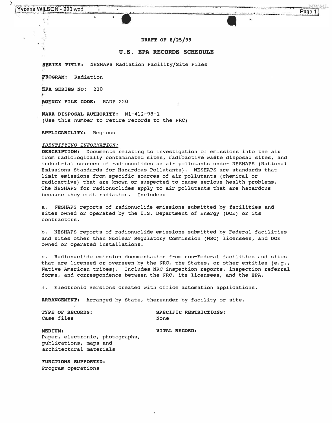$\overline{\phantom{a}}$ 

### **DRAFT OF 8/25/99**

## **U.S. EPA RECORDS SCHEDULE**

**J�RIES TITLE: NESHAPS Radiation Facility/Site Files** 

**,aoGRAM: Radiation** 

**SPA SERIES NO: 220** 

**AGENCY FILE CODE: RADP 220** 

**NARA DISPOSAL AUTHORITY: Nl-412-98-1 (Use this number to retire records to the FRC)** 

**APPLICABILITY: Regions** 

#### *IDENTIFYING INFORMATION:*

**DESCRIPTION: Documents relating to investigation of emissions into the air**  from radiologically contaminated sites, radioactive waste disposal sites, and **industrial sources of radionuclides as air pollutants under NESHAPS (National Emissions standards for Hazardous Pollutants). NESHAPS are standards that limit emissions from specific sources of air pollutants (chemical or radioactive) that are known or suspected to cause serious health problems. The NESHAPS for radionuclides apply to air pollutants that are hazardous because they emit radiation. Includes:** 

**a. NESHAPS reports of radionuclide emissions submitted by facilities and sites owned or operated by the U.S. Department of Energy (DOE) or its contractors.** 

**b. NESHAPS reports of radionuclide emissions submitted by Federal facilities and sites other than Nuclear Regulatory Commission (NRC) licensees, and DOE owned or operated installations.** 

**c. Radionuclide emission documentation from non-Federal facilities and sites that are licensed or overseen by the NRC, the States, or other entities (e.g., Native American tribes). Includes NRC inspection reports, inspection referral forms, and correspondence between the NRC, its licensees, and the EPA.** 

**d. Electronic versions created with office automation applications.** 

**ARRANGEMENT: Arranged by State, thereunder by facility or site.** 

**TYPE OF RECORDS:** SPECIFIC RESTRICTIONS:<br>
Case files Mone **Case files** 

**MEDIUM: VITAL RECORD: Paper, electronic, photographs, publications, maps and architectural materials** 

**FUNCTIONS SUPPORTED: Program operations**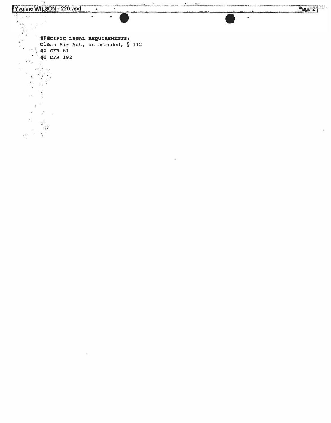$\sim$   $\sim$ 



 $\bullet$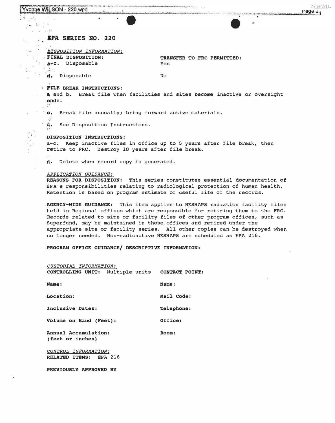## Yvonne WILSON - 220.wpd

I ¥

 $\geq$ ŝ.

 $\mathcal{C}(\mathfrak{g})$ 

 $\frac{1}{2}$  .

 $\frac{1}{2}$  $\cdots$  $\epsilon_{\rm esc} = \Omega_{\rm C}$  $\approx -\alpha$   $\approx -24$ 

## EPA SERIES NO. 220

*QISPOSITION INFORMATION:* 

**TRANSFER TO FRC PERMITTED:**  Yes

g **a-c.** Disposable ,1; ,"�

**fINAL DISPOSITION:** 

**d,** Disposable

No

## **FILE BREAK INSTRUCTIONS:**

• and b. Break file when facilities and sites become inactive or oversight **ends.** 

c. Break file annually; bring forward active materials.

d. See Disposition Instructions.

## **bisposition instructions:**

a-c. Keep inactive files in office up to 5 years after file break, then retire to FRC. Destroy 10 years after file break.

d. Delete when record copy is generated.

## *APPLICATION GUIDANCE:*

**REASONS FOR DISPOSITION:** This series constitutes essential documentation of EPA's responsibilities relating to radiological protection of human health. Retention is based on program estimate of useful life of the records.

**AGENCY-WIDE GUIDANCE:** This item applies to NESHAPS radiation facility files held in Regional offices which are responsible for retiring them to the FRC. Records related to site or facility files of other program offices, such as Superfund, may be maintained in those offices and retired under the appropriate site or facility series. All other copies can be destroyed when no longer needed. Non-radioactive NESHAPS are scheduled as EPA 216.

**PROGRAM OFFICE GUIDANCE/ DESCRIPTIVE INFORMATION:** 

| CUSTODIAL INFORMATION:                          |            |  |  |
|-------------------------------------------------|------------|--|--|
| CONTROLLING UNIT: Multiple units CONTACT POINT: |            |  |  |
|                                                 |            |  |  |
| Name:                                           | Name:      |  |  |
|                                                 |            |  |  |
| Location:                                       | Mail Code: |  |  |
| Inclusive Dates:                                | Telephone: |  |  |
|                                                 |            |  |  |
| Volume on Hand (Feet):                          | Office:    |  |  |
|                                                 |            |  |  |
| Annual Accumulation:                            | Room:      |  |  |
| (feet or inches)                                |            |  |  |
|                                                 |            |  |  |
| CONTROL INFORMATION:                            |            |  |  |
| RELATED ITEMS: EPA 216                          |            |  |  |
|                                                 |            |  |  |

PREVIOUSLY APPROVED BY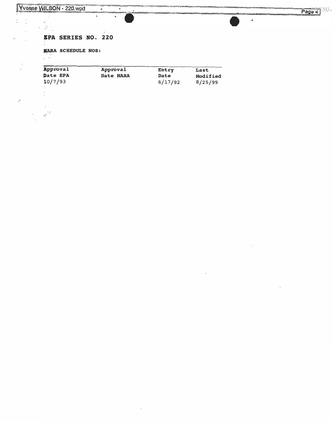I •

 $-60$ 

 $\label{eq:2.1} \begin{array}{c} \mathbb{E} \\ \mathbb{E} \left[ \begin{array}{cc} \mathbb{E}^{\mathcal{A}} & \mathbb{E}^{\mathcal{A}} \\ \mathbb{E}^{\mathcal{A}} & \mathbb{E}^{\mathcal{A}} \end{array} \right] \end{array}$ 

 $\langle \hat{u} \rangle$ 

 $\ddot{\phantom{a}}$ 

 $\ell_1$  is  $\overline{a}$ 

Î.  $\frac{1}{2}$ 

 $\bar{\mathcal{F}}$ 

i.

 $\chi^{\bullet}$ 

Page 4

 $\overline{\phantom{a}}$ 

## IPA SERIES NO. 220

 $\blacksquare$ 

ù.

.

 $\hat{\phantom{a}}$ 

NARA SCHEDULE NOS:

| Approval | Approval  | Entry       | Last     |
|----------|-----------|-------------|----------|
| Date EPA | Date NARA | <b>Date</b> | Modified |
| 10/7/93  |           | 6/17/92     | 8/25/99  |

 $\hat{\mathbf{a}}$